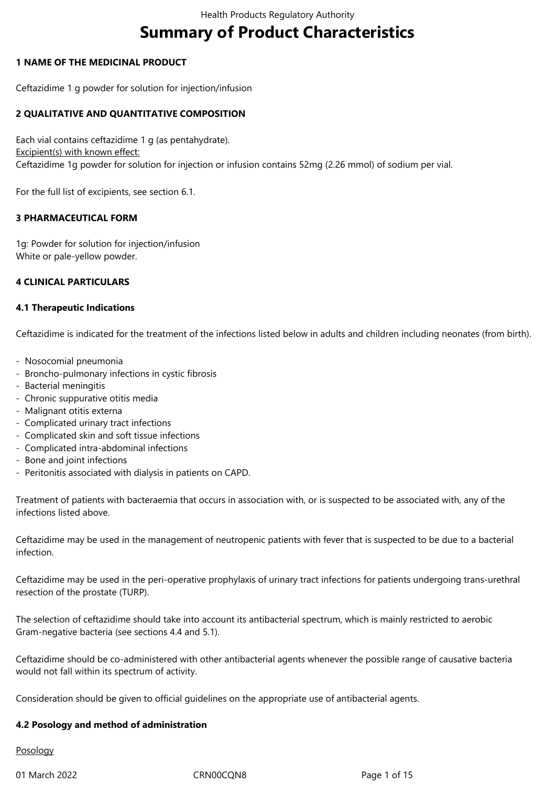# **Summary of Product Characteristics**

# **1 NAME OF THE MEDICINAL PRODUCT**

Ceftazidime 1 g powder for solution for injection/infusion

# **2 QUALITATIVE AND QUANTITATIVE COMPOSITION**

Each vial contains ceftazidime 1 g (as pentahydrate). Excipient(s) with known effect: Ceftazidime 1g powder for solution for injection or infusion contains 52mg (2.26 mmol) of sodium per vial.

For the full list of excipients, see section 6.1.

# **3 PHARMACEUTICAL FORM**

1g: Powder for solution for injection/infusion White or pale-yellow powder.

# **4 CLINICAL PARTICULARS**

# **4.1 Therapeutic Indications**

Ceftazidime is indicated for the treatment of the infections listed below in adults and children including neonates (from birth).

- Nosocomial pneumonia
- Broncho-pulmonary infections in cystic fibrosis
- Bacterial meningitis
- Chronic suppurative otitis media
- Malignant otitis externa
- Complicated urinary tract infections
- Complicated skin and soft tissue infections
- Complicated intra-abdominal infections
- Bone and joint infections
- Peritonitis associated with dialysis in patients on CAPD.

Treatment of patients with bacteraemia that occurs in association with, or is suspected to be associated with, any of the infections listed above.

Ceftazidime may be used in the management of neutropenic patients with fever that is suspected to be due to a bacterial infection.

Ceftazidime may be used in the peri-operative prophylaxis of urinary tract infections for patients undergoing trans-urethral resection of the prostate (TURP).

The selection of ceftazidime should take into account its antibacterial spectrum, which is mainly restricted to aerobic Gram-negative bacteria (see sections 4.4 and 5.1).

Ceftazidime should be co-administered with other antibacterial agents whenever the possible range of causative bacteria would not fall within its spectrum of activity.

Consideration should be given to official guidelines on the appropriate use of antibacterial agents.

# **4.2 Posology and method of administration**

# Posology

01 March 2022 CRN00CQN8 Page 1 of 15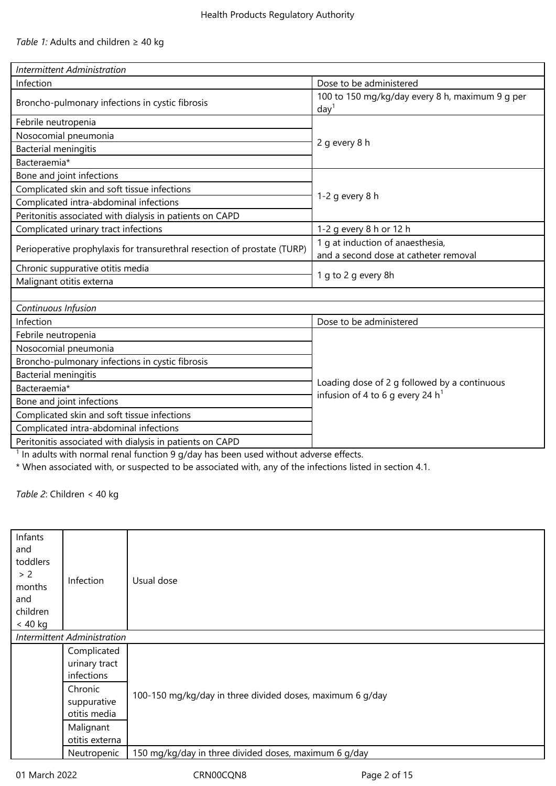| <b>Intermittent Administration</b>                                       |                                                                                    |  |  |  |
|--------------------------------------------------------------------------|------------------------------------------------------------------------------------|--|--|--|
| Infection                                                                | Dose to be administered                                                            |  |  |  |
| Broncho-pulmonary infections in cystic fibrosis                          | 100 to 150 mg/kg/day every 8 h, maximum 9 g per<br>day <sup>1</sup>                |  |  |  |
| Febrile neutropenia                                                      |                                                                                    |  |  |  |
| Nosocomial pneumonia                                                     |                                                                                    |  |  |  |
| Bacterial meningitis                                                     | 2 g every 8 h                                                                      |  |  |  |
| Bacteraemia*                                                             |                                                                                    |  |  |  |
| Bone and joint infections                                                |                                                                                    |  |  |  |
| Complicated skin and soft tissue infections                              |                                                                                    |  |  |  |
| Complicated intra-abdominal infections                                   | 1-2 $q$ every 8 h                                                                  |  |  |  |
| Peritonitis associated with dialysis in patients on CAPD                 |                                                                                    |  |  |  |
| Complicated urinary tract infections                                     | 1-2 g every 8 h or 12 h                                                            |  |  |  |
| Perioperative prophylaxis for transurethral resection of prostate (TURP) | 1 g at induction of anaesthesia,<br>and a second dose at catheter removal          |  |  |  |
| Chronic suppurative otitis media                                         |                                                                                    |  |  |  |
| Malignant otitis externa                                                 | 1 g to 2 g every 8h                                                                |  |  |  |
|                                                                          |                                                                                    |  |  |  |
| Continuous Infusion                                                      |                                                                                    |  |  |  |
| Infection                                                                | Dose to be administered                                                            |  |  |  |
| Febrile neutropenia                                                      |                                                                                    |  |  |  |
| Nosocomial pneumonia                                                     |                                                                                    |  |  |  |
| Broncho-pulmonary infections in cystic fibrosis                          |                                                                                    |  |  |  |
| <b>Bacterial meningitis</b>                                              |                                                                                    |  |  |  |
| Bacteraemia*                                                             | Loading dose of 2 g followed by a continuous<br>infusion of 4 to 6 g every 24 $h1$ |  |  |  |
| Bone and joint infections                                                |                                                                                    |  |  |  |
| Complicated skin and soft tissue infections                              |                                                                                    |  |  |  |
| Complicated intra-abdominal infections                                   |                                                                                    |  |  |  |
| Peritonitis associated with dialysis in patients on CAPD                 |                                                                                    |  |  |  |

 $<sup>1</sup>$  In adults with normal renal function 9 g/day has been used without adverse effects.</sup>

\* When associated with, or suspected to be associated with, any of the infections listed in section 4.1.

*Table 2*: Children < 40 kg

| Infants<br>and<br>toddlers<br>> 2<br>months<br>and<br>children<br>$< 40$ kg | Infection<br>Intermittent Administration   | Usual dose                                                |
|-----------------------------------------------------------------------------|--------------------------------------------|-----------------------------------------------------------|
|                                                                             |                                            |                                                           |
|                                                                             | Complicated<br>urinary tract<br>infections |                                                           |
|                                                                             | Chronic<br>suppurative<br>otitis media     | 100-150 mg/kg/day in three divided doses, maximum 6 g/day |
|                                                                             | Malignant<br>otitis externa                |                                                           |
|                                                                             | Neutropenic                                | 150 mg/kg/day in three divided doses, maximum 6 g/day     |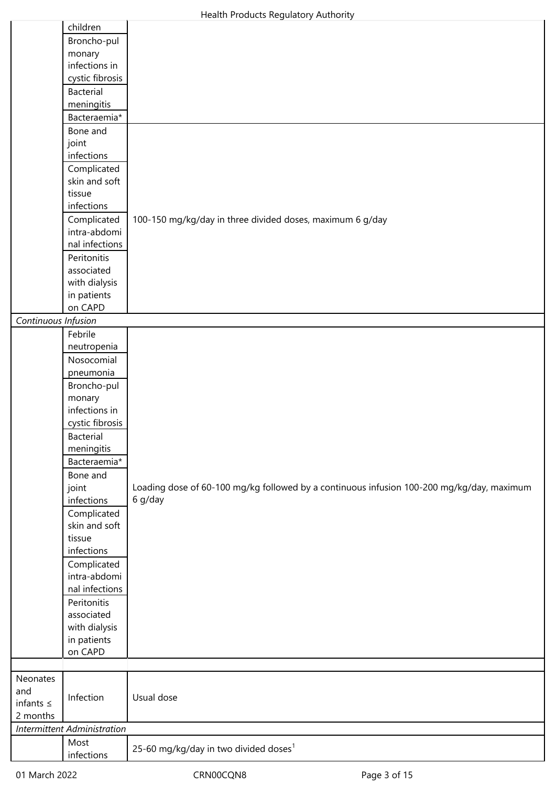|                     | children                           |                                                                                           |
|---------------------|------------------------------------|-------------------------------------------------------------------------------------------|
|                     | Broncho-pul                        |                                                                                           |
|                     | monary                             |                                                                                           |
|                     | infections in                      |                                                                                           |
|                     | cystic fibrosis                    |                                                                                           |
|                     | <b>Bacterial</b>                   |                                                                                           |
|                     | meningitis                         |                                                                                           |
|                     | Bacteraemia*                       |                                                                                           |
|                     | Bone and                           |                                                                                           |
|                     | joint                              |                                                                                           |
|                     | infections                         |                                                                                           |
|                     | Complicated                        |                                                                                           |
|                     | skin and soft                      |                                                                                           |
|                     | tissue                             |                                                                                           |
|                     | infections                         |                                                                                           |
|                     | Complicated                        | 100-150 mg/kg/day in three divided doses, maximum 6 g/day                                 |
|                     | intra-abdomi                       |                                                                                           |
|                     | nal infections                     |                                                                                           |
|                     | Peritonitis                        |                                                                                           |
|                     | associated                         |                                                                                           |
|                     | with dialysis                      |                                                                                           |
|                     | in patients                        |                                                                                           |
|                     | on CAPD                            |                                                                                           |
| Continuous Infusion |                                    |                                                                                           |
|                     | Febrile                            |                                                                                           |
|                     | neutropenia                        |                                                                                           |
|                     | Nosocomial                         |                                                                                           |
|                     | pneumonia                          |                                                                                           |
|                     | Broncho-pul                        |                                                                                           |
|                     | monary                             |                                                                                           |
|                     | infections in                      |                                                                                           |
|                     | cystic fibrosis                    |                                                                                           |
|                     | <b>Bacterial</b>                   |                                                                                           |
|                     | meningitis                         |                                                                                           |
|                     | Bacteraemia*                       |                                                                                           |
|                     | Bone and                           |                                                                                           |
|                     | joint                              | Loading dose of 60-100 mg/kg followed by a continuous infusion 100-200 mg/kg/day, maximum |
|                     | infections                         | 6 g/day                                                                                   |
|                     | Complicated                        |                                                                                           |
|                     | skin and soft                      |                                                                                           |
|                     | tissue                             |                                                                                           |
|                     | infections                         |                                                                                           |
|                     | Complicated                        |                                                                                           |
|                     | intra-abdomi                       |                                                                                           |
|                     | nal infections                     |                                                                                           |
|                     | Peritonitis                        |                                                                                           |
|                     | associated                         |                                                                                           |
|                     | with dialysis                      |                                                                                           |
|                     | in patients                        |                                                                                           |
|                     | on CAPD                            |                                                                                           |
|                     |                                    |                                                                                           |
| Neonates            |                                    |                                                                                           |
| and                 | Infection                          | Usual dose                                                                                |
| infants $\leq$      |                                    |                                                                                           |
| 2 months            |                                    |                                                                                           |
|                     | <b>Intermittent Administration</b> |                                                                                           |
|                     | Most                               | 25-60 mg/kg/day in two divided doses <sup>1</sup>                                         |
|                     | infections                         |                                                                                           |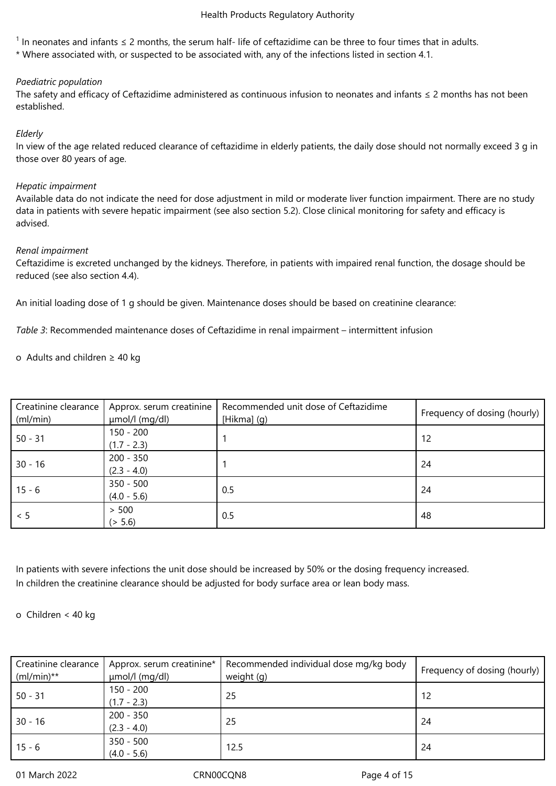<sup>1</sup> In neonates and infants ≤ 2 months, the serum half- life of ceftazidime can be three to four times that in adults.

\* Where associated with, or suspected to be associated with, any of the infections listed in section 4.1.

# *Paediatric population*

The safety and efficacy of Ceftazidime administered as continuous infusion to neonates and infants ≤ 2 months has not been established.

# *Elderly*

In view of the age related reduced clearance of ceftazidime in elderly patients, the daily dose should not normally exceed 3 g in those over 80 years of age.

# *Hepatic impairment*

Available data do not indicate the need for dose adjustment in mild or moderate liver function impairment. There are no study data in patients with severe hepatic impairment (see also section 5.2). Close clinical monitoring for safety and efficacy is advised.

# *Renal impairment*

Ceftazidime is excreted unchanged by the kidneys. Therefore, in patients with impaired renal function, the dosage should be reduced (see also section 4.4).

An initial loading dose of 1 g should be given. Maintenance doses should be based on creatinine clearance:

*Table 3*: Recommended maintenance doses of Ceftazidime in renal impairment – intermittent infusion

o Adults and children ≥ 40 kg

| Creatinine clearance<br>(ml/min) | Approx. serum creatinine<br>µmol/l (mg/dl) | Recommended unit dose of Ceftazidime<br>[Hikma] (g) | Frequency of dosing (hourly) |
|----------------------------------|--------------------------------------------|-----------------------------------------------------|------------------------------|
| $50 - 31$                        | $150 - 200$<br>$(1.7 - 2.3)$               |                                                     | 12                           |
| $30 - 16$                        | $200 - 350$<br>$(2.3 - 4.0)$               |                                                     | 24                           |
| $15 - 6$                         | $350 - 500$<br>$(4.0 - 5.6)$               | 0.5                                                 | 24                           |
| < 5                              | > 500<br>(> 5.6)                           | 0.5                                                 | 48                           |

In patients with severe infections the unit dose should be increased by 50% or the dosing frequency increased. In children the creatinine clearance should be adjusted for body surface area or lean body mass.

# o Children < 40 kg

| Creatinine clearance<br>$(mI/min)**$ | Approx. serum creatinine*<br>umol/l (mg/dl) | Recommended individual dose mg/kg body<br>weight (g) | Frequency of dosing (hourly) |
|--------------------------------------|---------------------------------------------|------------------------------------------------------|------------------------------|
| $50 - 31$                            | $150 - 200$<br>$(1.7 - 2.3)$                | 25                                                   | -12                          |
| $30 - 16$                            | $200 - 350$<br>$(2.3 - 4.0)$                | 25                                                   | -24                          |
| $15 - 6$                             | $350 - 500$<br>$(4.0 - 5.6)$                | 12.5                                                 | -24                          |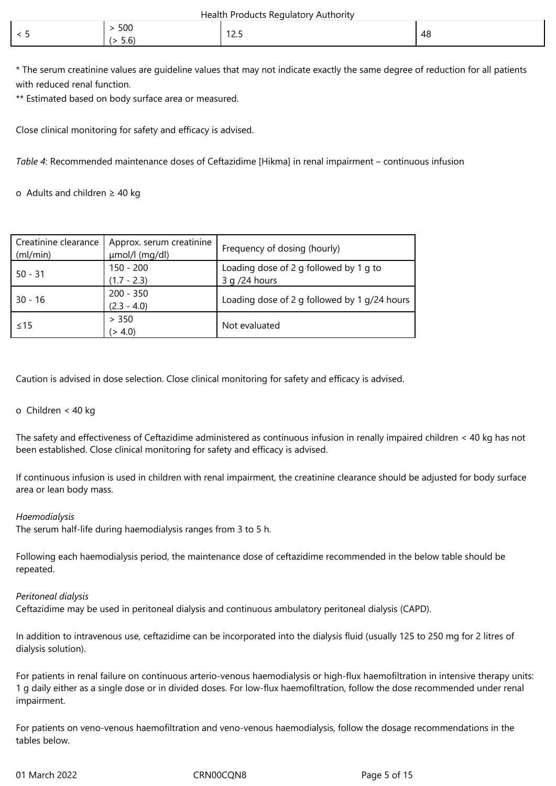| Health Products Regulatory Authority |  |  |
|--------------------------------------|--|--|
|--------------------------------------|--|--|

| 500<br>╭<br>╰<br>$ -$<br>5.6 | $-40o$<br>. <u>.</u> | -48 |
|------------------------------|----------------------|-----|
|------------------------------|----------------------|-----|

\* The serum creatinine values are guideline values that may not indicate exactly the same degree of reduction for all patients with reduced renal function.

\*\* Estimated based on body surface area or measured.

Close clinical monitoring for safety and efficacy is advised.

*Table 4*: Recommended maintenance doses of Ceftazidime [Hikma] in renal impairment – continuous infusion

o Adults and children ≥ 40 kg

| Creatinine clearance<br>(ml/min) | Approx. serum creatinine<br>µmol/l (mg/dl) | Frequency of dosing (hourly)                 |
|----------------------------------|--------------------------------------------|----------------------------------------------|
| $50 - 31$                        | $150 - 200$                                | Loading dose of 2 g followed by 1 g to       |
|                                  | $(1.7 - 2.3)$                              | $3 q / 24$ hours                             |
| $30 - 16$                        | $200 - 350$                                | Loading dose of 2 g followed by 1 g/24 hours |
|                                  | $(2.3 - 4.0)$                              |                                              |
|                                  | > 350                                      |                                              |
| $\leq$ 15                        | (> 4.0)                                    | Not evaluated                                |

Caution is advised in dose selection. Close clinical monitoring for safety and efficacy is advised.

# o Children < 40 kg

The safety and effectiveness of Ceftazidime administered as continuous infusion in renally impaired children < 40 kg has not been established. Close clinical monitoring for safety and efficacy is advised.

If continuous infusion is used in children with renal impairment, the creatinine clearance should be adjusted for body surface area or lean body mass.

# *Haemodialysis*

The serum half-life during haemodialysis ranges from 3 to 5 h.

Following each haemodialysis period, the maintenance dose of ceftazidime recommended in the below table should be repeated.

# *Peritoneal dialysis*

Ceftazidime may be used in peritoneal dialysis and continuous ambulatory peritoneal dialysis (CAPD).

In addition to intravenous use, ceftazidime can be incorporated into the dialysis fluid (usually 125 to 250 mg for 2 litres of dialysis solution).

For patients in renal failure on continuous arterio-venous haemodialysis or high-flux haemofiltration in intensive therapy units: 1 g daily either as a single dose or in divided doses. For low-flux haemofiltration, follow the dose recommended under renal impairment.

For patients on veno-venous haemofiltration and veno-venous haemodialysis, follow the dosage recommendations in the tables below.

01 March 2022 CRN00CQN8 Page 5 of 15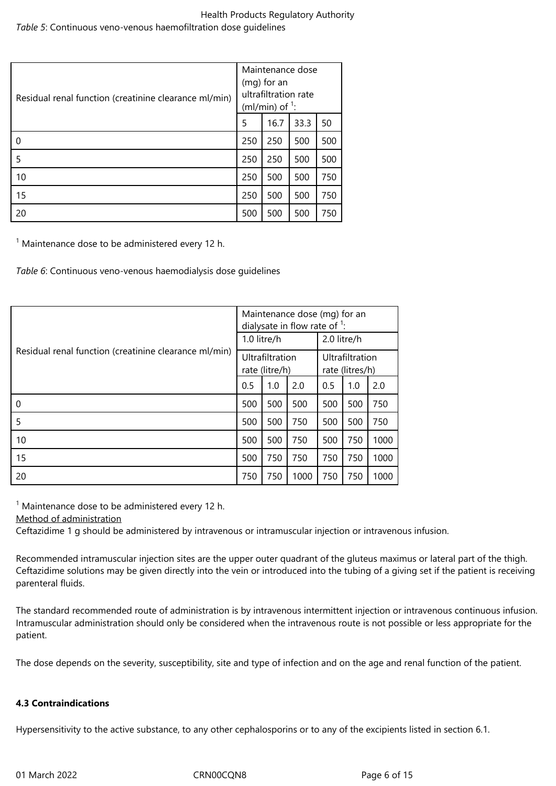# Health Products Regulatory Authority *Table 5*: Continuous veno-venous haemofiltration dose guidelines

| Residual renal function (creatinine clearance ml/min) | Maintenance dose<br>(mg) for an<br>ultrafiltration rate<br>(ml/min) of $\frac{1}{1}$ : |      |      |     |  |
|-------------------------------------------------------|----------------------------------------------------------------------------------------|------|------|-----|--|
|                                                       |                                                                                        | 16.7 | 33.3 | 50  |  |
| 0                                                     | 250                                                                                    | 250  | 500  | 500 |  |
| 5                                                     | 250                                                                                    | 250  | 500  | 500 |  |
| 10                                                    | 250                                                                                    | 500  | 500  | 750 |  |
| 15                                                    | 250                                                                                    | 500  | 500  | 750 |  |
| 20                                                    | 500                                                                                    | 500  | 500  | 750 |  |

 $1$  Maintenance dose to be administered every 12 h.

*Table 6*: Continuous veno-venous haemodialysis dose guidelines

|                                                       |                                   | Maintenance dose (mg) for an<br>dialysate in flow rate of $1$ : |                                    |             |     |      |  |
|-------------------------------------------------------|-----------------------------------|-----------------------------------------------------------------|------------------------------------|-------------|-----|------|--|
|                                                       | 1.0 litre/h                       |                                                                 |                                    | 2.0 litre/h |     |      |  |
| Residual renal function (creatinine clearance ml/min) | Ultrafiltration<br>rate (litre/h) |                                                                 | Ultrafiltration<br>rate (litres/h) |             |     |      |  |
|                                                       | 0.5                               | 1.0                                                             | 2.0                                | 0.5         | 1.0 | 2.0  |  |
| 0                                                     | 500                               | 500                                                             | 500                                | 500         | 500 | 750  |  |
| 5                                                     | 500                               | 500                                                             | 750                                | 500         | 500 | 750  |  |
| 10                                                    | 500                               | 500                                                             | 750                                | 500         | 750 | 1000 |  |
| 15                                                    | 500                               | 750                                                             | 750                                | 750         | 750 | 1000 |  |
| 20                                                    | 750                               | 750                                                             | 1000                               | 750         | 750 | 1000 |  |

 $1$  Maintenance dose to be administered every 12 h.

Method of administration

Ceftazidime 1 g should be administered by intravenous or intramuscular injection or intravenous infusion.

Recommended intramuscular injection sites are the upper outer quadrant of the gluteus maximus or lateral part of the thigh. Ceftazidime solutions may be given directly into the vein or introduced into the tubing of a giving set if the patient is receiving parenteral fluids.

The standard recommended route of administration is by intravenous intermittent injection or intravenous continuous infusion. Intramuscular administration should only be considered when the intravenous route is not possible or less appropriate for the patient.

The dose depends on the severity, susceptibility, site and type of infection and on the age and renal function of the patient.

# **4.3 Contraindications**

Hypersensitivity to the active substance, to any other cephalosporins or to any of the excipients listed in section 6.1.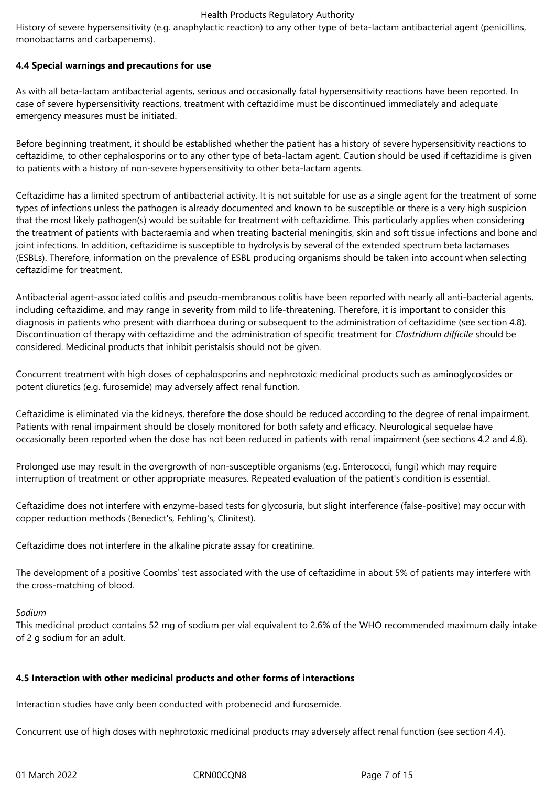History of severe hypersensitivity (e.g. anaphylactic reaction) to any other type of beta-lactam antibacterial agent (penicillins, monobactams and carbapenems).

# **4.4 Special warnings and precautions for use**

As with all beta-lactam antibacterial agents, serious and occasionally fatal hypersensitivity reactions have been reported. In case of severe hypersensitivity reactions, treatment with ceftazidime must be discontinued immediately and adequate emergency measures must be initiated.

Before beginning treatment, it should be established whether the patient has a history of severe hypersensitivity reactions to ceftazidime, to other cephalosporins or to any other type of beta-lactam agent. Caution should be used if ceftazidime is given to patients with a history of non-severe hypersensitivity to other beta-lactam agents.

Ceftazidime has a limited spectrum of antibacterial activity. It is not suitable for use as a single agent for the treatment of some types of infections unless the pathogen is already documented and known to be susceptible or there is a very high suspicion that the most likely pathogen(s) would be suitable for treatment with ceftazidime. This particularly applies when considering the treatment of patients with bacteraemia and when treating bacterial meningitis, skin and soft tissue infections and bone and joint infections. In addition, ceftazidime is susceptible to hydrolysis by several of the extended spectrum beta lactamases (ESBLs). Therefore, information on the prevalence of ESBL producing organisms should be taken into account when selecting ceftazidime for treatment.

Antibacterial agent-associated colitis and pseudo-membranous colitis have been reported with nearly all anti-bacterial agents, including ceftazidime, and may range in severity from mild to life-threatening. Therefore, it is important to consider this diagnosis in patients who present with diarrhoea during or subsequent to the administration of ceftazidime (see section 4.8). Discontinuation of therapy with ceftazidime and the administration of specific treatment for *Clostridium difficile* should be considered. Medicinal products that inhibit peristalsis should not be given.

Concurrent treatment with high doses of cephalosporins and nephrotoxic medicinal products such as aminoglycosides or potent diuretics (e.g. furosemide) may adversely affect renal function.

Ceftazidime is eliminated via the kidneys, therefore the dose should be reduced according to the degree of renal impairment. Patients with renal impairment should be closely monitored for both safety and efficacy. Neurological sequelae have occasionally been reported when the dose has not been reduced in patients with renal impairment (see sections 4.2 and 4.8).

Prolonged use may result in the overgrowth of non-susceptible organisms (e.g. Enterococci, fungi) which may require interruption of treatment or other appropriate measures. Repeated evaluation of the patient's condition is essential.

Ceftazidime does not interfere with enzyme-based tests for glycosuria, but slight interference (false-positive) may occur with copper reduction methods (Benedict's, Fehling's, Clinitest).

Ceftazidime does not interfere in the alkaline picrate assay for creatinine.

The development of a positive Coombs' test associated with the use of ceftazidime in about 5% of patients may interfere with the cross-matching of blood.

# *Sodium*

This medicinal product contains 52 mg of sodium per vial equivalent to 2.6% of the WHO recommended maximum daily intake of 2 g sodium for an adult.

# **4.5 Interaction with other medicinal products and other forms of interactions**

Interaction studies have only been conducted with probenecid and furosemide.

Concurrent use of high doses with nephrotoxic medicinal products may adversely affect renal function (see section 4.4).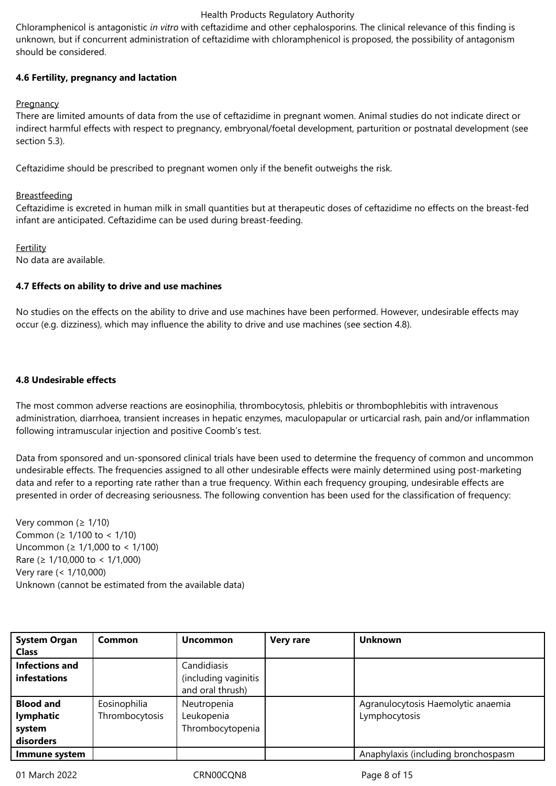Chloramphenicol is antagonistic *in vitro* with ceftazidime and other cephalosporins. The clinical relevance of this finding is unknown, but if concurrent administration of ceftazidime with chloramphenicol is proposed, the possibility of antagonism should be considered.

# **4.6 Fertility, pregnancy and lactation**

# **Pregnancy**

There are limited amounts of data from the use of ceftazidime in pregnant women. Animal studies do not indicate direct or indirect harmful effects with respect to pregnancy, embryonal/foetal development, parturition or postnatal development (see section 5.3).

Ceftazidime should be prescribed to pregnant women only if the benefit outweighs the risk.

# **Breastfeeding**

Ceftazidime is excreted in human milk in small quantities but at therapeutic doses of ceftazidime no effects on the breast-fed infant are anticipated. Ceftazidime can be used during breast-feeding.

Fertility No data are available.

# **4.7 Effects on ability to drive and use machines**

No studies on the effects on the ability to drive and use machines have been performed. However, undesirable effects may occur (e.g. dizziness), which may influence the ability to drive and use machines (see section 4.8).

# **4.8 Undesirable effects**

The most common adverse reactions are eosinophilia, thrombocytosis, phlebitis or thrombophlebitis with intravenous administration, diarrhoea, transient increases in hepatic enzymes, maculopapular or urticarcial rash, pain and/or inflammation following intramuscular injection and positive Coomb's test.

Data from sponsored and un-sponsored clinical trials have been used to determine the frequency of common and uncommon undesirable effects. The frequencies assigned to all other undesirable effects were mainly determined using post-marketing data and refer to a reporting rate rather than a true frequency. Within each frequency grouping, undesirable effects are presented in order of decreasing seriousness. The following convention has been used for the classification of frequency:

Very common ( $\geq 1/10$ ) Common (≥ 1/100 to < 1/10) Uncommon (≥ 1/1,000 to < 1/100) Rare (≥ 1/10,000 to < 1/1,000) Very rare (< 1/10,000) Unknown (cannot be estimated from the available data)

| <b>System Organ</b>   | Common         | <b>Uncommon</b>      | <b>Very rare</b> | <b>Unknown</b>                      |
|-----------------------|----------------|----------------------|------------------|-------------------------------------|
| <b>Class</b>          |                |                      |                  |                                     |
| <b>Infections and</b> |                | Candidiasis          |                  |                                     |
| <b>infestations</b>   |                | (including vaginitis |                  |                                     |
|                       |                | and oral thrush)     |                  |                                     |
| <b>Blood and</b>      | Eosinophilia   | Neutropenia          |                  | Agranulocytosis Haemolytic anaemia  |
| lymphatic             | Thrombocytosis | Leukopenia           |                  | Lymphocytosis                       |
| system                |                | Thrombocytopenia     |                  |                                     |
| disorders             |                |                      |                  |                                     |
| Immune system         |                |                      |                  | Anaphylaxis (including bronchospasm |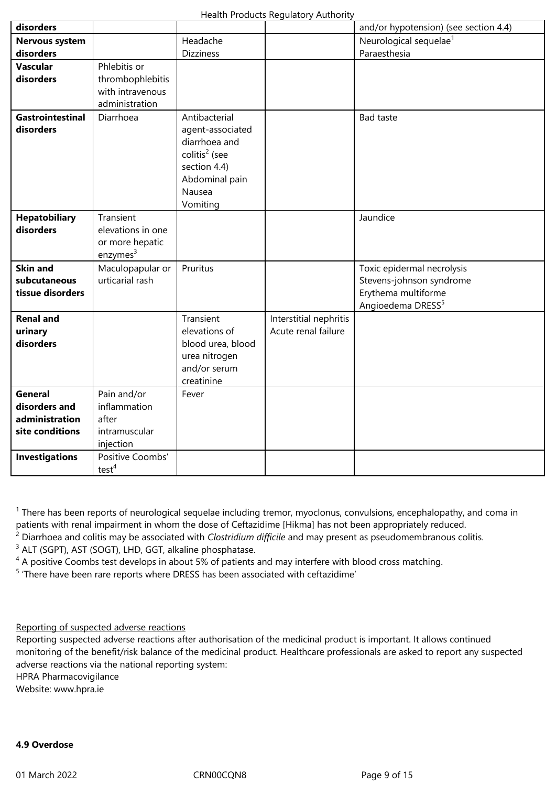| disorders               |                      |                           |                        | and/or hypotension) (see section 4.4) |
|-------------------------|----------------------|---------------------------|------------------------|---------------------------------------|
| <b>Nervous system</b>   |                      | Headache                  |                        | Neurological sequelae <sup>1</sup>    |
| disorders               |                      | <b>Dizziness</b>          |                        | Paraesthesia                          |
| <b>Vascular</b>         | Phlebitis or         |                           |                        |                                       |
| disorders               | thrombophlebitis     |                           |                        |                                       |
|                         | with intravenous     |                           |                        |                                       |
|                         | administration       |                           |                        |                                       |
| <b>Gastrointestinal</b> | Diarrhoea            | Antibacterial             |                        | <b>Bad taste</b>                      |
| disorders               |                      | agent-associated          |                        |                                       |
|                         |                      | diarrhoea and             |                        |                                       |
|                         |                      | colitis <sup>2</sup> (see |                        |                                       |
|                         |                      | section 4.4)              |                        |                                       |
|                         |                      | Abdominal pain            |                        |                                       |
|                         |                      | Nausea                    |                        |                                       |
|                         |                      | Vomiting                  |                        |                                       |
| <b>Hepatobiliary</b>    | Transient            |                           |                        | Jaundice                              |
| disorders               | elevations in one    |                           |                        |                                       |
|                         | or more hepatic      |                           |                        |                                       |
|                         | enzymes <sup>3</sup> |                           |                        |                                       |
| <b>Skin and</b>         | Maculopapular or     | Pruritus                  |                        | Toxic epidermal necrolysis            |
| subcutaneous            | urticarial rash      |                           |                        | Stevens-johnson syndrome              |
| tissue disorders        |                      |                           |                        | Erythema multiforme                   |
|                         |                      |                           |                        | Angioedema DRESS <sup>5</sup>         |
| <b>Renal and</b>        |                      | Transient                 | Interstitial nephritis |                                       |
| urinary                 |                      | elevations of             | Acute renal failure    |                                       |
| disorders               |                      | blood urea, blood         |                        |                                       |
|                         |                      | urea nitrogen             |                        |                                       |
|                         |                      | and/or serum              |                        |                                       |
|                         |                      | creatinine                |                        |                                       |
| <b>General</b>          | Pain and/or          | Fever                     |                        |                                       |
| disorders and           | inflammation         |                           |                        |                                       |
| administration          | after                |                           |                        |                                       |
| site conditions         | intramuscular        |                           |                        |                                       |
|                         | injection            |                           |                        |                                       |
| <b>Investigations</b>   | Positive Coombs'     |                           |                        |                                       |
|                         | test <sup>4</sup>    |                           |                        |                                       |

<sup>1</sup> There has been reports of neurological sequelae including tremor, myoclonus, convulsions, encephalopathy, and coma in patients with renal impairment in whom the dose of Ceftazidime [Hikma] has not been appropriately reduced.

2 Diarrhoea and colitis may be associated with *Clostridium difficile* and may present as pseudomembranous colitis.

<sup>3</sup> ALT (SGPT), AST (SOGT), LHD, GGT, alkaline phosphatase.

<sup>4</sup> A positive Coombs test develops in about 5% of patients and may interfere with blood cross matching.

<sup>5</sup> 'There have been rare reports where DRESS has been associated with ceftazidime'

Reporting of suspected adverse reactions

Reporting suspected adverse reactions after authorisation of the medicinal product is important. It allows continued monitoring of the benefit/risk balance of the medicinal product. Healthcare professionals are asked to report any suspected adverse reactions via the national reporting system:

HPRA Pharmacovigilance

Website: www.hpra.ie

# **4.9 Overdose**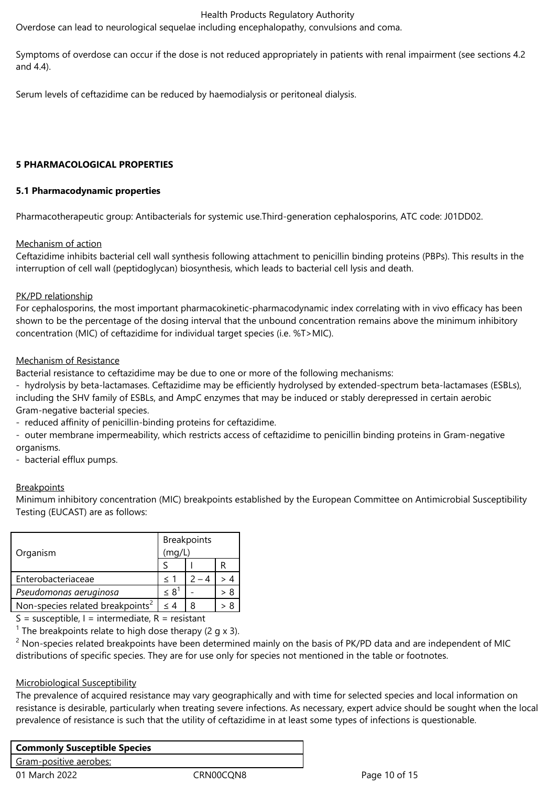Overdose can lead to neurological sequelae including encephalopathy, convulsions and coma.

Symptoms of overdose can occur if the dose is not reduced appropriately in patients with renal impairment (see sections 4.2 and 4.4).

Serum levels of ceftazidime can be reduced by haemodialysis or peritoneal dialysis.

#### **5 PHARMACOLOGICAL PROPERTIES**

# **5.1 Pharmacodynamic properties**

Pharmacotherapeutic group: Antibacterials for systemic use.Third-generation cephalosporins, ATC code: J01DD02.

#### Mechanism of action

Ceftazidime inhibits bacterial cell wall synthesis following attachment to penicillin binding proteins (PBPs). This results in the interruption of cell wall (peptidoglycan) biosynthesis, which leads to bacterial cell lysis and death.

#### PK/PD relationship

For cephalosporins, the most important pharmacokinetic-pharmacodynamic index correlating with in vivo efficacy has been shown to be the percentage of the dosing interval that the unbound concentration remains above the minimum inhibitory concentration (MIC) of ceftazidime for individual target species (i.e. %T>MIC).

#### Mechanism of Resistance

Bacterial resistance to ceftazidime may be due to one or more of the following mechanisms:

- hydrolysis by beta-lactamases. Ceftazidime may be efficiently hydrolysed by extended-spectrum beta-lactamases (ESBLs), including the SHV family of ESBLs, and AmpC enzymes that may be induced or stably derepressed in certain aerobic Gram-negative bacterial species.

- reduced affinity of penicillin-binding proteins for ceftazidime.

- outer membrane impermeability, which restricts access of ceftazidime to penicillin binding proteins in Gram-negative organisms.

- bacterial efflux pumps.

#### **Breakpoints**

Minimum inhibitory concentration (MIC) breakpoints established by the European Committee on Antimicrobial Susceptibility Testing (EUCAST) are as follows:

| Organism                                     | <b>Breakpoints</b><br>(mq/L) |  |  |
|----------------------------------------------|------------------------------|--|--|
|                                              |                              |  |  |
| Enterobacteriaceae                           | $\leq 1$                     |  |  |
| Pseudomonas aeruginosa                       | $\leq 8$                     |  |  |
| Non-species related breakpoints <sup>2</sup> | < 4                          |  |  |

 $S =$  susceptible,  $I =$  intermediate,  $R =$  resistant

<sup>1</sup> The breakpoints relate to high dose therapy (2 g x 3).

 $2$  Non-species related breakpoints have been determined mainly on the basis of PK/PD data and are independent of MIC distributions of specific species. They are for use only for species not mentioned in the table or footnotes.

# Microbiological Susceptibility

The prevalence of acquired resistance may vary geographically and with time for selected species and local information on resistance is desirable, particularly when treating severe infections. As necessary, expert advice should be sought when the local prevalence of resistance is such that the utility of ceftazidime in at least some types of infections is questionable.

| <b>Commonly Susceptible Species</b> |           |  |  |  |  |
|-------------------------------------|-----------|--|--|--|--|
| Gram-positive aerobes:              |           |  |  |  |  |
| 01 March 2022                       | CRN00CON8 |  |  |  |  |

Page 10 of 15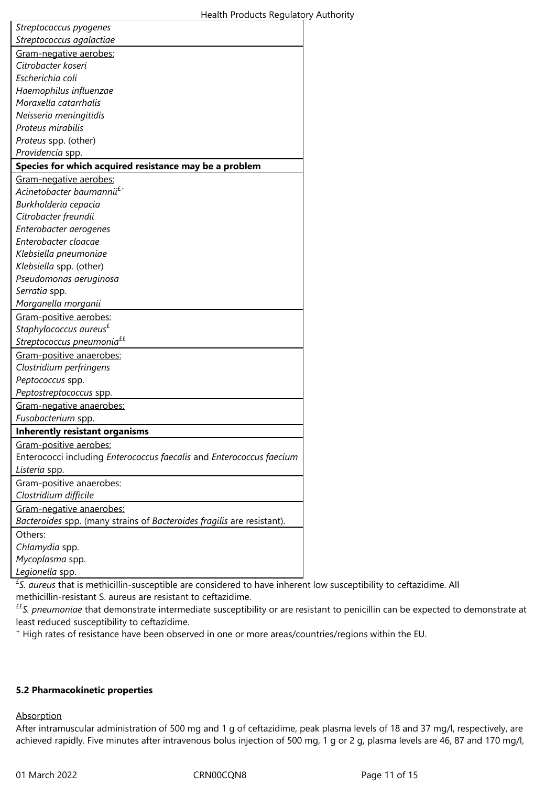| Streptococcus pyogenes                                                 |  |  |  |  |
|------------------------------------------------------------------------|--|--|--|--|
| Streptococcus agalactiae                                               |  |  |  |  |
| Gram-negative aerobes:                                                 |  |  |  |  |
| Citrobacter koseri                                                     |  |  |  |  |
| Escherichia coli                                                       |  |  |  |  |
| Haemophilus influenzae                                                 |  |  |  |  |
| Moraxella catarrhalis                                                  |  |  |  |  |
| Neisseria meningitidis                                                 |  |  |  |  |
| Proteus mirabilis                                                      |  |  |  |  |
| Proteus spp. (other)                                                   |  |  |  |  |
| Providencia spp.                                                       |  |  |  |  |
| Species for which acquired resistance may be a problem                 |  |  |  |  |
| Gram-negative aerobes:                                                 |  |  |  |  |
| Acinetobacter baumannii $^{\rm f+}$                                    |  |  |  |  |
| Burkholderia cepacia                                                   |  |  |  |  |
| Citrobacter freundii                                                   |  |  |  |  |
| Enterobacter aerogenes                                                 |  |  |  |  |
| Enterobacter cloacae                                                   |  |  |  |  |
| Klebsiella pneumoniae                                                  |  |  |  |  |
| Klebsiella spp. (other)                                                |  |  |  |  |
| Pseudomonas aeruginosa                                                 |  |  |  |  |
| Serratia spp.                                                          |  |  |  |  |
| Morganella morganii                                                    |  |  |  |  |
| Gram-positive aerobes:                                                 |  |  |  |  |
| Staphylococcus aureus <sup>£</sup>                                     |  |  |  |  |
| Streptococcus pneumonia <sup>££</sup>                                  |  |  |  |  |
| Gram-positive anaerobes:                                               |  |  |  |  |
| Clostridium perfringens                                                |  |  |  |  |
| Peptococcus spp.                                                       |  |  |  |  |
| Peptostreptococcus spp.                                                |  |  |  |  |
| Gram-negative anaerobes:                                               |  |  |  |  |
| Fusobacterium spp.                                                     |  |  |  |  |
| <b>Inherently resistant organisms</b>                                  |  |  |  |  |
| <u>Gram-positive aerobes:</u>                                          |  |  |  |  |
| Enterococci including Enterococcus faecalis and Enterococcus faecium   |  |  |  |  |
| Listeria spp.                                                          |  |  |  |  |
| Gram-positive anaerobes:                                               |  |  |  |  |
| Clostridium difficile                                                  |  |  |  |  |
| Gram-negative anaerobes:                                               |  |  |  |  |
| Bacteroides spp. (many strains of Bacteroides fragilis are resistant). |  |  |  |  |
| Others:                                                                |  |  |  |  |
| Chlamydia spp.                                                         |  |  |  |  |
| Mycoplasma spp.                                                        |  |  |  |  |
|                                                                        |  |  |  |  |

*Legionella* spp.

£ *S. aureus* that is methicillin-susceptible are considered to have inherent low susceptibility to ceftazidime. All methicillin-resistant S. aureus are resistant to ceftazidime.

££*S. pneumoniae* that demonstrate intermediate susceptibility or are resistant to penicillin can be expected to demonstrate at least reduced susceptibility to ceftazidime.

+ High rates of resistance have been observed in one or more areas/countries/regions within the EU.

# **5.2 Pharmacokinetic properties**

**Absorption** 

After intramuscular administration of 500 mg and 1 g of ceftazidime, peak plasma levels of 18 and 37 mg/l, respectively, are achieved rapidly. Five minutes after intravenous bolus injection of 500 mg, 1 g or 2 g, plasma levels are 46, 87 and 170 mg/l,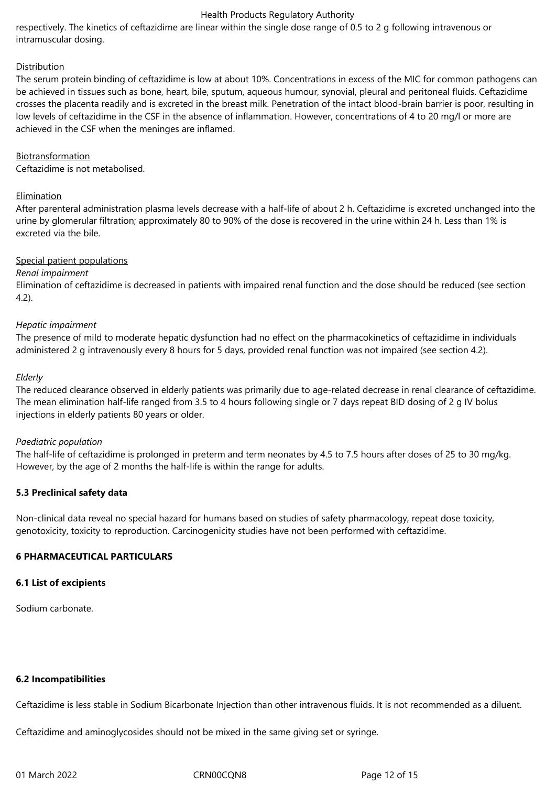respectively. The kinetics of ceftazidime are linear within the single dose range of 0.5 to 2 g following intravenous or intramuscular dosing.

#### **Distribution**

The serum protein binding of ceftazidime is low at about 10%. Concentrations in excess of the MIC for common pathogens can be achieved in tissues such as bone, heart, bile, sputum, aqueous humour, synovial, pleural and peritoneal fluids. Ceftazidime crosses the placenta readily and is excreted in the breast milk. Penetration of the intact blood-brain barrier is poor, resulting in low levels of ceftazidime in the CSF in the absence of inflammation. However, concentrations of 4 to 20 mg/l or more are achieved in the CSF when the meninges are inflamed.

#### Biotransformation

Ceftazidime is not metabolised.

#### **Elimination**

After parenteral administration plasma levels decrease with a half-life of about 2 h. Ceftazidime is excreted unchanged into the urine by glomerular filtration; approximately 80 to 90% of the dose is recovered in the urine within 24 h. Less than 1% is excreted via the bile.

#### Special patient populations

#### *Renal impairment*

Elimination of ceftazidime is decreased in patients with impaired renal function and the dose should be reduced (see section 4.2).

#### *Hepatic impairment*

The presence of mild to moderate hepatic dysfunction had no effect on the pharmacokinetics of ceftazidime in individuals administered 2 g intravenously every 8 hours for 5 days, provided renal function was not impaired (see section 4.2).

#### *Elderly*

The reduced clearance observed in elderly patients was primarily due to age-related decrease in renal clearance of ceftazidime. The mean elimination half-life ranged from 3.5 to 4 hours following single or 7 days repeat BID dosing of 2 g IV bolus injections in elderly patients 80 years or older.

#### *Paediatric population*

The half-life of ceftazidime is prolonged in preterm and term neonates by 4.5 to 7.5 hours after doses of 25 to 30 mg/kg. However, by the age of 2 months the half-life is within the range for adults.

# **5.3 Preclinical safety data**

Non-clinical data reveal no special hazard for humans based on studies of safety pharmacology, repeat dose toxicity, genotoxicity, toxicity to reproduction. Carcinogenicity studies have not been performed with ceftazidime.

# **6 PHARMACEUTICAL PARTICULARS**

#### **6.1 List of excipients**

Sodium carbonate.

# **6.2 Incompatibilities**

Ceftazidime is less stable in Sodium Bicarbonate Injection than other intravenous fluids. It is not recommended as a diluent.

Ceftazidime and aminoglycosides should not be mixed in the same giving set or syringe.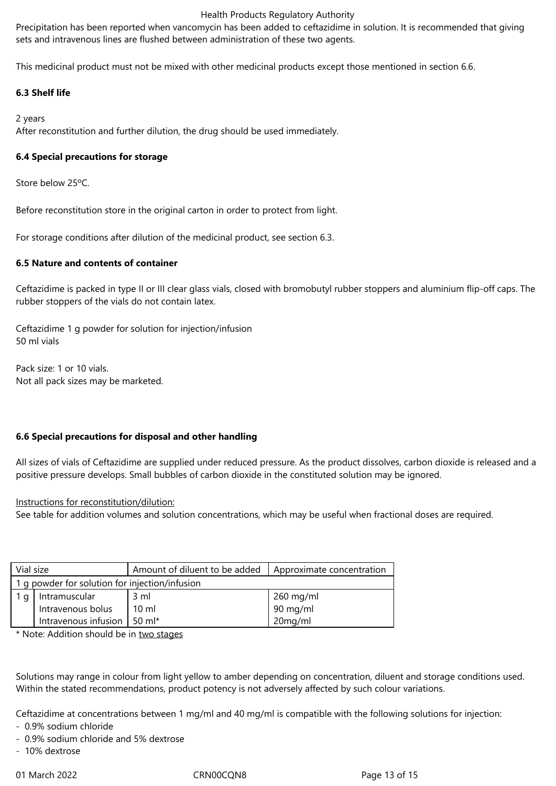Precipitation has been reported when vancomycin has been added to ceftazidime in solution. It is recommended that giving sets and intravenous lines are flushed between administration of these two agents.

This medicinal product must not be mixed with other medicinal products except those mentioned in section 6.6.

# **6.3 Shelf life**

# 2 years

After reconstitution and further dilution, the drug should be used immediately.

# **6.4 Special precautions for storage**

Store below 25ºC.

Before reconstitution store in the original carton in order to protect from light.

For storage conditions after dilution of the medicinal product, see section 6.3.

# **6.5 Nature and contents of container**

Ceftazidime is packed in type II or III clear glass vials, closed with bromobutyl rubber stoppers and aluminium flip-off caps. The rubber stoppers of the vials do not contain latex.

Ceftazidime 1 g powder for solution for injection/infusion 50 ml vials

Pack size: 1 or 10 vials. Not all pack sizes may be marketed.

# **6.6 Special precautions for disposal and other handling**

All sizes of vials of Ceftazidime are supplied under reduced pressure. As the product dissolves, carbon dioxide is released and a positive pressure develops. Small bubbles of carbon dioxide in the constituted solution may be ignored.

# Instructions for reconstitution/dilution:

See table for addition volumes and solution concentrations, which may be useful when fractional doses are required.

| Vial size                                      |                      | Amount of diluent to be added | Approximate concentration |  |  |  |
|------------------------------------------------|----------------------|-------------------------------|---------------------------|--|--|--|
| 1 q powder for solution for injection/infusion |                      |                               |                           |  |  |  |
|                                                | Intramuscular        | 3 ml                          | $260$ mg/ml               |  |  |  |
|                                                | Intravenous bolus    | $10 \mathrm{m}$               | 90 mg/ml                  |  |  |  |
|                                                | Intravenous infusion | 50 $ml*$                      | 20mg/ml                   |  |  |  |

\* Note: Addition should be in two stages

Solutions may range in colour from light yellow to amber depending on concentration, diluent and storage conditions used. Within the stated recommendations, product potency is not adversely affected by such colour variations.

Ceftazidime at concentrations between 1 mg/ml and 40 mg/ml is compatible with the following solutions for injection:

- 0.9% sodium chloride
- 0.9% sodium chloride and 5% dextrose
- 10% dextrose

01 March 2022 CRN00CQN8 CRNOCCOMB Page 13 of 15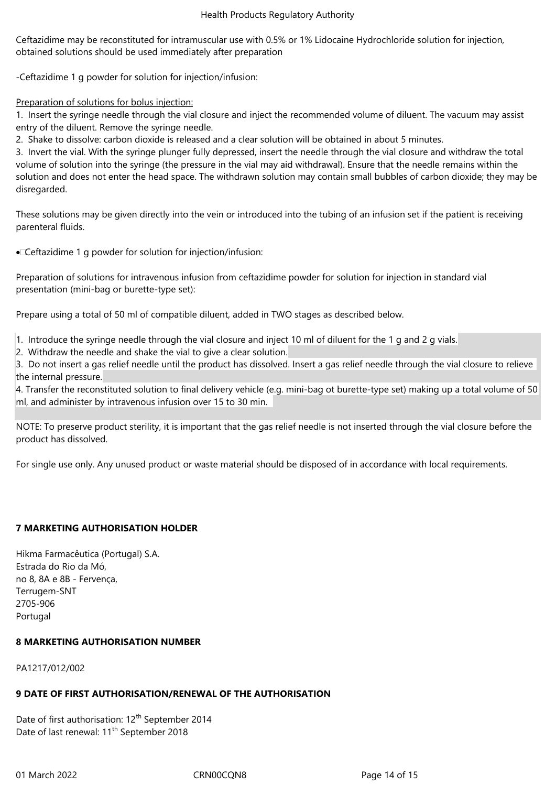Ceftazidime may be reconstituted for intramuscular use with 0.5% or 1% Lidocaine Hydrochloride solution for injection, obtained solutions should be used immediately after preparation

-Ceftazidime 1 g powder for solution for injection/infusion:

# Preparation of solutions for bolus injection:

1. Insert the syringe needle through the vial closure and inject the recommended volume of diluent. The vacuum may assist entry of the diluent. Remove the syringe needle.

2. Shake to dissolve: carbon dioxide is released and a clear solution will be obtained in about 5 minutes.

3. Invert the vial. With the syringe plunger fully depressed, insert the needle through the vial closure and withdraw the total volume of solution into the syringe (the pressure in the vial may aid withdrawal). Ensure that the needle remains within the solution and does not enter the head space. The withdrawn solution may contain small bubbles of carbon dioxide; they may be disregarded.

These solutions may be given directly into the vein or introduced into the tubing of an infusion set if the patient is receiving parenteral fluids.

· Ceftazidime 1 g powder for solution for injection/infusion:

Preparation of solutions for intravenous infusion from ceftazidime powder for solution for injection in standard vial presentation (mini-bag or burette-type set):

Prepare using a total of 50 ml of compatible diluent, added in TWO stages as described below.

1. Introduce the syringe needle through the vial closure and inject 10 ml of diluent for the 1 g and 2 g vials.

2. Withdraw the needle and shake the vial to give a clear solution.

3. Do not insert a gas relief needle until the product has dissolved. Insert a gas relief needle through the vial closure to relieve the internal pressure.

4. Transfer the reconstituted solution to final delivery vehicle (e.g. mini-bag ot burette-type set) making up a total volume of 50 ml, and administer by intravenous infusion over 15 to 30 min.

NOTE: To preserve product sterility, it is important that the gas relief needle is not inserted through the vial closure before the product has dissolved.

For single use only. Any unused product or waste material should be disposed of in accordance with local requirements.

# **7 MARKETING AUTHORISATION HOLDER**

Hikma Farmacêutica (Portugal) S.A. Estrada do Rio da Mó, no 8, 8A e 8B - Fervença, Terrugem-SNT 2705-906 Portugal

# **8 MARKETING AUTHORISATION NUMBER**

PA1217/012/002

# **9 DATE OF FIRST AUTHORISATION/RENEWAL OF THE AUTHORISATION**

Date of first authorisation: 12<sup>th</sup> September 2014 Date of last renewal: 11<sup>th</sup> September 2018